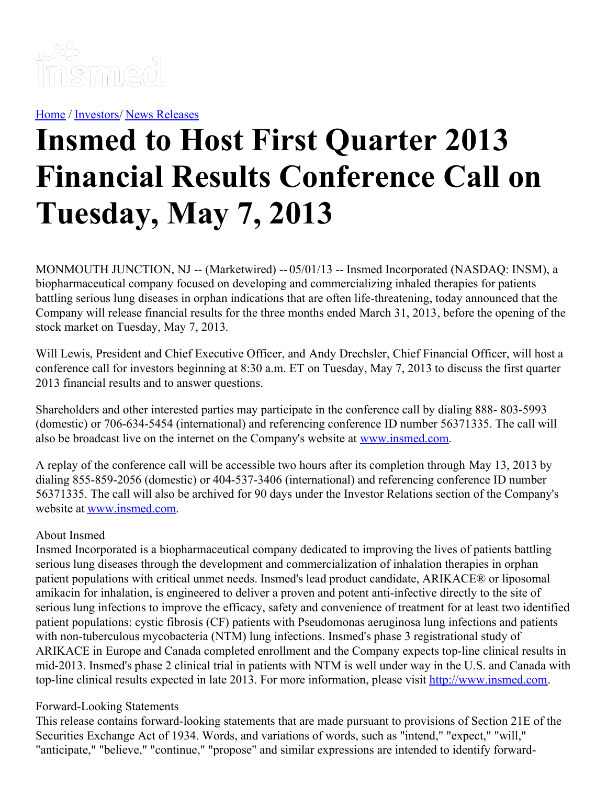

[Home](https://insmed.com/) / [Investors](https://investor.insmed.com/index)/ News [Releases](https://investor.insmed.com/releases)

## **Insmed to Host First Quarter 2013 Financial Results Conference Call on Tuesday, May 7, 2013**

MONMOUTH JUNCTION, NJ -- (Marketwired) -- 05/01/13 -- Insmed Incorporated (NASDAQ: INSM), a biopharmaceutical company focused on developing and commercializing inhaled therapies for patients battling serious lung diseases in orphan indications that are often life-threatening, today announced that the Company will release financial results for the three months ended March 31, 2013, before the opening of the stock market on Tuesday, May 7, 2013.

Will Lewis, President and Chief Executive Officer, and Andy Drechsler, Chief Financial Officer, will host a conference call for investors beginning at 8:30 a.m. ET on Tuesday, May 7, 2013 to discuss the first quarter 2013 financial results and to answer questions.

Shareholders and other interested parties may participate in the conference call by dialing 888- 803-5993 (domestic) or 706-634-5454 (international) and referencing conference ID number 56371335. The call will also be broadcast live on the internet on the Company's website at [www.insmed.com](http://www.insmed.com/).

A replay of the conference call will be accessible two hours after its completion through May 13, 2013 by dialing 855-859-2056 (domestic) or 404-537-3406 (international) and referencing conference ID number 56371335. The call will also be archived for 90 days under the Investor Relations section of the Company's website at [www.insmed.com](http://www.insmed.com/).

## About Insmed

Insmed Incorporated is a biopharmaceutical company dedicated to improving the lives of patients battling serious lung diseases through the development and commercialization of inhalation therapies in orphan patient populations with critical unmet needs. Insmed's lead product candidate, ARIKACE® or liposomal amikacin for inhalation, is engineered to deliver a proven and potent anti-infective directly to the site of serious lung infections to improve the efficacy, safety and convenience of treatment for at least two identified patient populations: cystic fibrosis (CF) patients with Pseudomonas aeruginosa lung infections and patients with non-tuberculous mycobacteria (NTM) lung infections. Insmed's phase 3 registrational study of ARIKACE in Europe and Canada completed enrollment and the Company expects top-line clinical results in mid-2013. Insmed's phase 2 clinical trial in patients with NTM is well under way in the U.S. and Canada with top-line clinical results expected in late 2013. For more information, please visit [http://www.insmed.com](http://www.insmed.com/).

## Forward-Looking Statements

This release contains forward-looking statements that are made pursuant to provisions of Section 21E of the Securities Exchange Act of 1934. Words, and variations of words, such as "intend," "expect," "will," "anticipate," "believe," "continue," "propose" and similar expressions are intended to identify forward